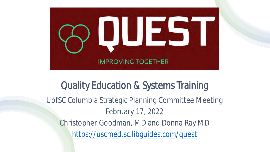

#### Quality Education & Systems Training

UofSC Columbia Strategic Planning Committee Meeting February 17, 2022

Christopher Goodman, MD and Donna Ray MD <https://uscmed.sc.libguides.com/quest>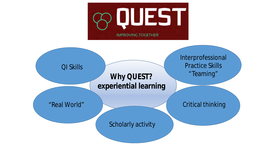

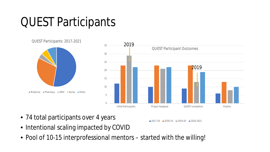### QUEST Participants



2017-18 2018-19 2019-20 2020-2021

- 74 total participants over 4 years
- Intentional scaling impacted by COVID
- Pool of 10-15 interprofessional mentors started with the willing!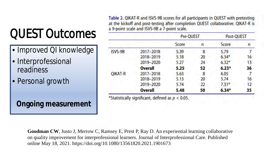# QUEST Outcomes

- Improved QI knowledge
- Interprofessional readiness
- Personal growth

**Ongoing measurement**

Table 2. QIKAT-R and ISVS-9B scores for all participants in QUEST with pretesting at the kickoff and post-testing after completion QUEST collaborative. QIKAT-R is a 9-point scale and ISVS-9B a 7-point scale.

|                |                | Pre-QUEST |    | Post-QUEST |    |
|----------------|----------------|-----------|----|------------|----|
|                |                | Score     | n  | Score      | n  |
| ISVS-9B        | 2017-2018      | 5.39      | 8  | 5.79       |    |
|                | 2018-2019      | 5.18      | 20 | $6.34*$    | 16 |
|                | 2019-2020      | 5.27      | 24 | $6.32*$    | 13 |
|                | <b>Overall</b> | 5.25      | 52 | $6.23*$    | 36 |
| <b>QIKAT-R</b> | 2017-2018      | 5.63      | 8  | 6.05       |    |
|                | 2018-2019      | 5.13      | 20 | 5.74       | 16 |
|                | 2019-2020      | 5.74      | 22 | $7.31*$    | 12 |
|                | <b>Overall</b> | 5.48      | 50 | $6.34*$    | 35 |

**Goodman CW**, Justo J, Merrow C, Ramsey E, Prest P, Ray D. An experiential learning collaborative on quality improvement for interprofessional learners. Journal of Interprofessional Care. Published online May 18, 2021. https://doi.org/10.1080/13561820.2021.1901673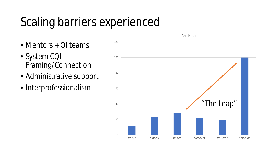### Scaling barriers experienced

- Mentors + QI teams
- System CQI Framing/Connection
- Administrative support
- Interprofessionalism

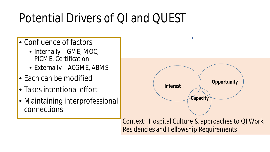## Potential Drivers of QI and QUEST

- Confluence of factors
	- Internally GME, MOC, PICME, Certification
	- Externally ACGME, ABMS
- Each can be modified
- Takes intentional effort
- Maintaining interprofessional connections



Context: Hospital Culture & approaches to QI Work Residencies and Fellowship Requirements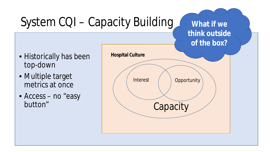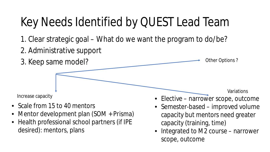## Key Needs Identified by QUEST Lead Team

- 1. Clear strategic goal What do we want the program to do/be?
- 2. Administrative support



- Scale from 15 to 40 mentors
- Mentor development plan (SOM + Prisma)
- Health professional school partners (if IPE desired): mentors, plans
- Semester-based improved volume capacity but mentors need greater
	- capacity (training, time)
- Integrated to M2 course narrower scope, outcome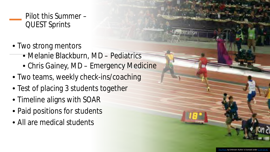#### Pilot this Summer – QUEST Sprints

- Two strong mentors
	- Melanie Blackburn, MD Pediatrics
	- Chris Gainey, MD Emergency Medicine
- Two teams, weekly check-ins/coaching
- Test of placing 3 students together
- Timeline aligns with SOAR
- Paid positions for students
- All are medical students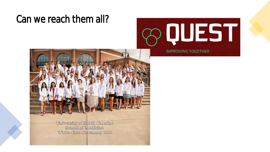#### Can we reach them all?





University of South Carolina **School of Medicine White Coat Ceremony 2021**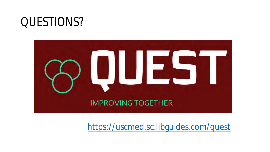#### QUESTIONS?



<https://uscmed.sc.libguides.com/quest>